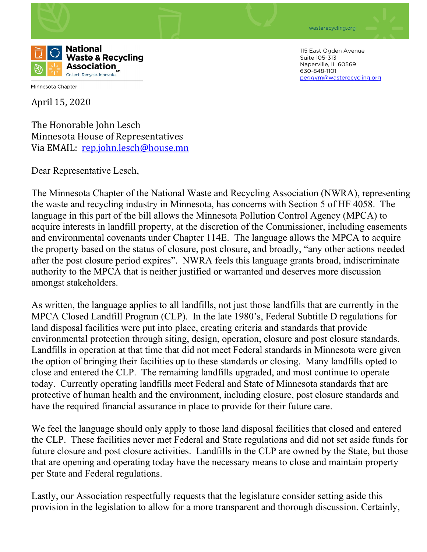



Minnesota Chapter

April 15, 2020

The Honorable John Lesch Minnesota House of Representatives Via EMAIL: [rep.john.lesch@house.mn](mailto:rep.john.lesch@house.mn)

Dear Representative Lesch,

The Minnesota Chapter of the National Waste and Recycling Association (NWRA), representing the waste and recycling industry in Minnesota, has concerns with Section 5 of HF 4058. The language in this part of the bill allows the Minnesota Pollution Control Agency (MPCA) to acquire interests in landfill property, at the discretion of the Commissioner, including easements and environmental covenants under Chapter 114E. The language allows the MPCA to acquire the property based on the status of closure, post closure, and broadly, "any other actions needed after the post closure period expires". NWRA feels this language grants broad, indiscriminate authority to the MPCA that is neither justified or warranted and deserves more discussion amongst stakeholders.

As written, the language applies to all landfills, not just those landfills that are currently in the MPCA Closed Landfill Program (CLP). In the late 1980's, Federal Subtitle D regulations for land disposal facilities were put into place, creating criteria and standards that provide environmental protection through siting, design, operation, closure and post closure standards. Landfills in operation at that time that did not meet Federal standards in Minnesota were given the option of bringing their facilities up to these standards or closing. Many landfills opted to close and entered the CLP. The remaining landfills upgraded, and most continue to operate today. Currently operating landfills meet Federal and State of Minnesota standards that are protective of human health and the environment, including closure, post closure standards and have the required financial assurance in place to provide for their future care.

We feel the language should only apply to those land disposal facilities that closed and entered the CLP. These facilities never met Federal and State regulations and did not set aside funds for future closure and post closure activities. Landfills in the CLP are owned by the State, but those that are opening and operating today have the necessary means to close and maintain property per State and Federal regulations.

Lastly, our Association respectfully requests that the legislature consider setting aside this provision in the legislation to allow for a more transparent and thorough discussion. Certainly,

115 East Ogden Avenue Suite 105-313 Naperville, IL 60569 630-848-1101 [peggym@wasterecycling.org](mailto:peggym@wasterecycling.org)